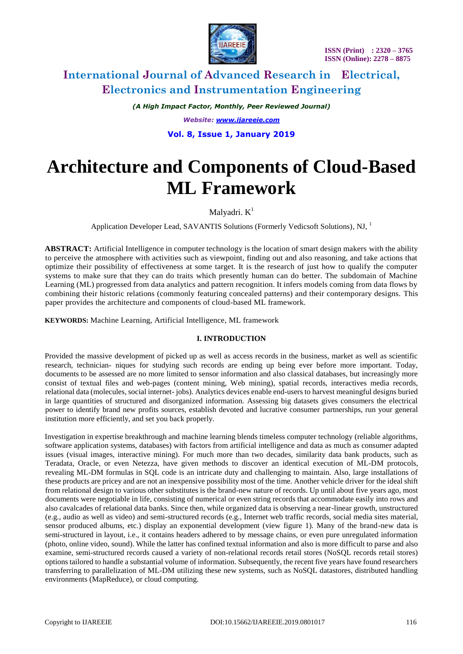

*(A High Impact Factor, Monthly, Peer Reviewed Journal) Website: [www.ijareeie.com](http://www.ijareeie.com/)* **Vol. 8, Issue 1, January 2019**

# **Architecture and Components of Cloud-Based ML Framework**

Malyadri. K<sup>1</sup>

Application Developer Lead, SAVANTIS Solutions (Formerly Vedicsoft Solutions), NJ, <sup>1</sup>

**ABSTRACT:** Artificial Intelligence in computer technology is the location of smart design makers with the ability to perceive the atmosphere with activities such as viewpoint, finding out and also reasoning, and take actions that optimize their possibility of effectiveness at some target. It is the research of just how to qualify the computer systems to make sure that they can do traits which presently human can do better. The subdomain of Machine Learning (ML) progressed from data analytics and pattern recognition. It infers models coming from data flows by combining their historic relations (commonly featuring concealed patterns) and their contemporary designs. This paper provides the architecture and components of cloud-based ML framework.

**KEYWORDS:** Machine Learning, Artificial Intelligence, ML framework

#### **I. INTRODUCTION**

Provided the massive development of picked up as well as access records in the business, market as well as scientific research, technician- niques for studying such records are ending up being ever before more important. Today, documents to be assessed are no more limited to sensor information and also classical databases, but increasingly more consist of textual files and web-pages (content mining, Web mining), spatial records, interactives media records, relational data (molecules, social internet- jobs). Analytics devices enable end-users to harvest meaningful designs buried in large quantities of structured and disorganized information. Assessing big datasets gives consumers the electrical power to identify brand new profits sources, establish devoted and lucrative consumer partnerships, run your general institution more efficiently, and set you back properly.

Investigation in expertise breakthrough and machine learning blends timeless computer technology (reliable algorithms, software application systems, databases) with factors from artificial intelligence and data as much as consumer adapted issues (visual images, interactive mining). For much more than two decades, similarity data bank products, such as Teradata, Oracle, or even Netezza, have given methods to discover an identical execution of ML-DM protocols, revealing ML-DM formulas in SQL code is an intricate duty and challenging to maintain. Also, large installations of these products are pricey and are not an inexpensive possibility most of the time. Another vehicle driver for the ideal shift from relational design to various other substitutes is the brand-new nature of records. Up until about five years ago, most documents were negotiable in life, consisting of numerical or even string records that accommodate easily into rows and also cavalcades of relational data banks. Since then, while organized data is observing a near-linear growth, unstructured (e.g., audio as well as video) and semi-structured records (e.g., Internet web traffic records, social media sites material, sensor produced albums, etc.) display an exponential development (view figure 1). Many of the brand-new data is semi-structured in layout, i.e., it contains headers adhered to by message chains, or even pure unregulated information (photo, online video, sound). While the latter has confined textual information and also is more difficult to parse and also examine, semi-structured records caused a variety of non-relational records retail stores (NoSQL records retail stores) options tailored to handle a substantial volume of information. Subsequently, the recent five years have found researchers transferring to parallelization of ML-DM utilizing these new systems, such as NoSQL datastores, distributed handling environments (MapReduce), or cloud computing.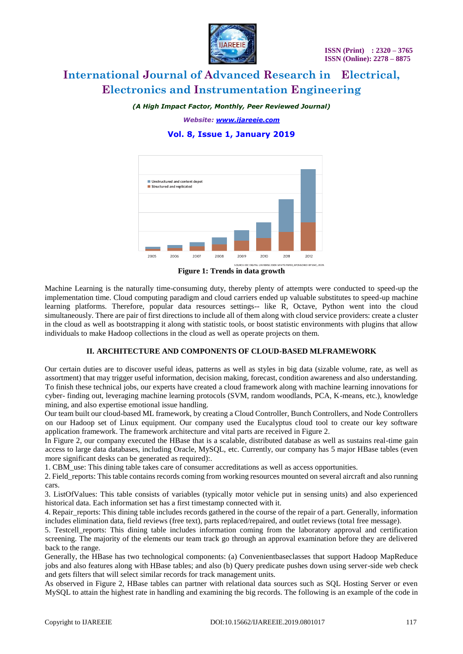

*(A High Impact Factor, Monthly, Peer Reviewed Journal)*

*Website: [www.ijareeie.com](http://www.ijareeie.com/)*

**Vol. 8, Issue 1, January 2019**



**Figure 1: Trends in data growth**

Machine Learning is the naturally time-consuming duty, thereby plenty of attempts were conducted to speed-up the implementation time. Cloud computing paradigm and cloud carriers ended up valuable substitutes to speed-up machine learning platforms. Therefore, popular data resources settings-- like R, Octave, Python went into the cloud simultaneously. There are pair of first directions to include all of them along with cloud service providers: create a cluster in the cloud as well as bootstrapping it along with statistic tools, or boost statistic environments with plugins that allow individuals to make Hadoop collections in the cloud as well as operate projects on them.

#### **II. ARCHITECTURE AND COMPONENTS OF CLOUD-BASED MLFRAMEWORK**

Our certain duties are to discover useful ideas, patterns as well as styles in big data (sizable volume, rate, as well as assortment) that may trigger useful information, decision making, forecast, condition awareness and also understanding. To finish these technical jobs, our experts have created a cloud framework along with machine learning innovations for cyber- finding out, leveraging machine learning protocols (SVM, random woodlands, PCA, K-means, etc.), knowledge mining, and also expertise emotional issue handling.

Our team built our cloud-based ML framework, by creating a Cloud Controller, Bunch Controllers, and Node Controllers on our Hadoop set of Linux equipment. Our company used the Eucalyptus cloud tool to create our key software application framework. The framework architecture and vital parts are received in Figure 2.

In Figure 2, our company executed the HBase that is a scalable, distributed database as well as sustains real-time gain access to large data databases, including Oracle, MySQL, etc. Currently, our company has 5 major HBase tables (even more significant desks can be generated as required):.

1. CBM\_use: This dining table takes care of consumer accreditations as well as access opportunities.

2. Field\_reports: This table contains records coming from working resources mounted on several aircraft and also running cars.

3. ListOfValues: This table consists of variables (typically motor vehicle put in sensing units) and also experienced historical data. Each information set has a first timestamp connected with it.

4. Repair reports: This dining table includes records gathered in the course of the repair of a part. Generally, information includes elimination data, field reviews (free text), parts replaced/repaired, and outlet reviews (total free message).

5. Testcell\_reports: This dining table includes information coming from the laboratory approval and certification screening. The majority of the elements our team track go through an approval examination before they are delivered back to the range.

Generally, the HBase has two technological components: (a) Convenientbaseclasses that support Hadoop MapReduce jobs and also features along with HBase tables; and also (b) Query predicate pushes down using server-side web check and gets filters that will select similar records for track management units.

As observed in Figure 2, HBase tables can partner with relational data sources such as SQL Hosting Server or even MySQL to attain the highest rate in handling and examining the big records. The following is an example of the code in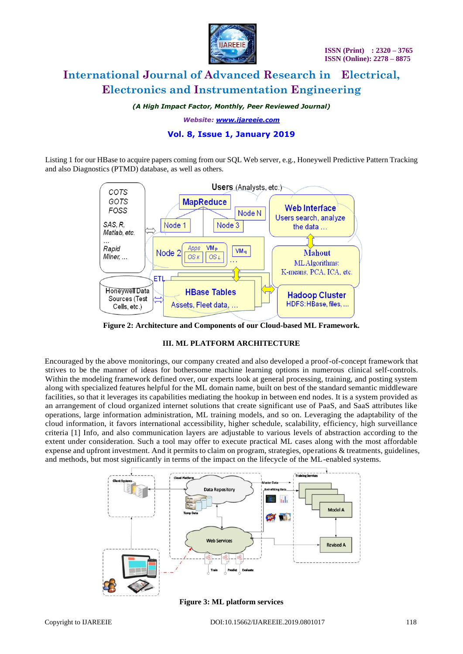

*(A High Impact Factor, Monthly, Peer Reviewed Journal)*

*Website: [www.ijareeie.com](http://www.ijareeie.com/)*

### **Vol. 8, Issue 1, January 2019**

Listing 1 for our HBase to acquire papers coming from our SQL Web server, e.g., Honeywell Predictive Pattern Tracking and also Diagnostics (PTMD) database, as well as others.



**Figure 2: Architecture and Components of our Cloud-based ML Framework.**

#### **III. ML PLATFORM ARCHITECTURE**

Encouraged by the above monitorings, our company created and also developed a proof-of-concept framework that strives to be the manner of ideas for bothersome machine learning options in numerous clinical self-controls. Within the modeling framework defined over, our experts look at general processing, training, and posting system along with specialized features helpful for the ML domain name, built on best of the standard semantic middleware facilities, so that it leverages its capabilities mediating the hookup in between end nodes. It is a system provided as an arrangement of cloud organized internet solutions that create significant use of PaaS, and SaaS attributes like operations, large information administration, ML training models, and so on. Leveraging the adaptability of the cloud information, it favors international accessibility, higher schedule, scalability, efficiency, high surveillance criteria [1] Info, and also communication layers are adjustable to various levels of abstraction according to the extent under consideration. Such a tool may offer to execute practical ML cases along with the most affordable expense and upfront investment. And it permits to claim on program, strategies, operations & treatments, guidelines, and methods, but most significantly in terms of the impact on the lifecycle of the ML-enabled systems.



**Figure 3: ML platform services**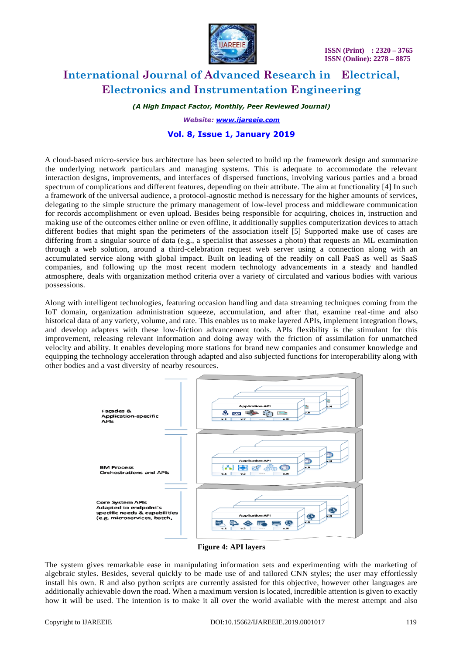

*(A High Impact Factor, Monthly, Peer Reviewed Journal)*

*Website: [www.ijareeie.com](http://www.ijareeie.com/)*

#### **Vol. 8, Issue 1, January 2019**

A cloud-based micro-service bus architecture has been selected to build up the framework design and summarize the underlying network particulars and managing systems. This is adequate to accommodate the relevant interaction designs, improvements, and interfaces of dispersed functions, involving various parties and a broad spectrum of complications and different features, depending on their attribute. The aim at functionality [4] In such a framework of the universal audience, a protocol-agnostic method is necessary for the higher amounts of services, delegating to the simple structure the primary management of low-level process and middleware communication for records accomplishment or even upload. Besides being responsible for acquiring, choices in, instruction and making use of the outcomes either online or even offline, it additionally supplies computerization devices to attach different bodies that might span the perimeters of the association itself [5] Supported make use of cases are differing from a singular source of data (e.g., a specialist that assesses a photo) that requests an ML examination through a web solution, around a third-celebration request web server using a connection along with an accumulated service along with global impact. Built on leading of the readily on call PaaS as well as SaaS companies, and following up the most recent modern technology advancements in a steady and handled atmosphere, deals with organization method criteria over a variety of circulated and various bodies with various possessions.

Along with intelligent technologies, featuring occasion handling and data streaming techniques coming from the IoT domain, organization administration squeeze, accumulation, and after that, examine real-time and also historical data of any variety, volume, and rate. This enables us to make layered APIs, implement integration flows, and develop adapters with these low-friction advancement tools. APIs flexibility is the stimulant for this improvement, releasing relevant information and doing away with the friction of assimilation for unmatched velocity and ability. It enables developing more stations for brand new companies and consumer knowledge and equipping the technology acceleration through adapted and also subjected functions for interoperability along with other bodies and a vast diversity of nearby resources.



**Figure 4: API layers**

The system gives remarkable ease in manipulating information sets and experimenting with the marketing of algebraic styles. Besides, several quickly to be made use of and tailored CNN styles; the user may effortlessly install his own. R and also python scripts are currently assisted for this objective, however other languages are additionally achievable down the road. When a maximum version is located, incredible attention is given to exactly how it will be used. The intention is to make it all over the world available with the merest attempt and also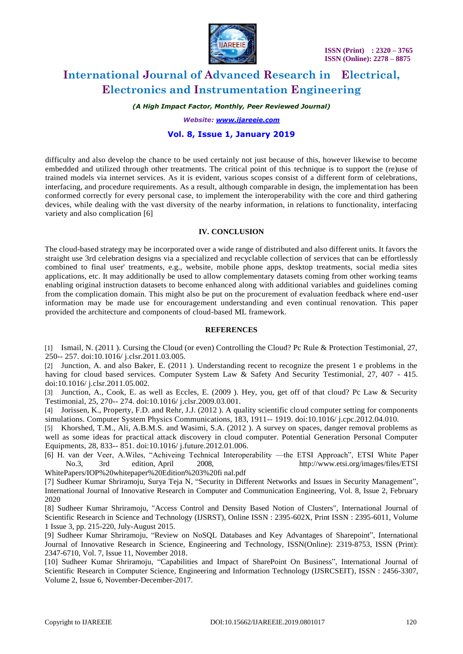

*(A High Impact Factor, Monthly, Peer Reviewed Journal)*

*Website: [www.ijareeie.com](http://www.ijareeie.com/)*

#### **Vol. 8, Issue 1, January 2019**

difficulty and also develop the chance to be used certainly not just because of this, however likewise to become embedded and utilized through other treatments. The critical point of this technique is to support the (re)use of trained models via internet services. As it is evident, various scopes consist of a different form of celebrations, interfacing, and procedure requirements. As a result, although comparable in design, the implementation has been conformed correctly for every personal case, to implement the interoperability with the core and third gathering devices, while dealing with the vast diversity of the nearby information, in relations to functionality, interfacing variety and also complication [6]

#### **IV. CONCLUSION**

The cloud-based strategy may be incorporated over a wide range of distributed and also different units. It favors the straight use 3rd celebration designs via a specialized and recyclable collection of services that can be effortlessly combined to final user' treatments, e.g., website, mobile phone apps, desktop treatments, social media sites applications, etc. It may additionally be used to allow complementary datasets coming from other working teams enabling original instruction datasets to become enhanced along with additional variables and guidelines coming from the complication domain. This might also be put on the procurement of evaluation feedback where end-user information may be made use for encouragement understanding and even continual renovation. This paper provided the architecture and components of cloud-based ML framework.

#### **REFERENCES**

[1] Ismail, N. (2011). Cursing the Cloud (or even) Controlling the Cloud? Pc Rule & Protection Testimonial, 27, 250-- 257. doi:10.1016/ j.clsr.2011.03.005.

[2] Junction, A. and also Baker, E. (2011 ). Understanding recent to recognize the present 1 e problems in the having for cloud based services. Computer System Law & Safety And Security Testimonial, 27, 407 - 415. doi:10.1016/ j.clsr.2011.05.002.

[3] Junction, A., Cook, E. as well as Eccles, E. (2009 ). Hey, you, get off of that cloud? Pc Law & Security Testimonial, 25, 270-- 274. doi:10.1016/ j.clsr.2009.03.001.

[4] Jorissen, K., Property, F.D. and Rehr, J.J. (2012 ). A quality scientific cloud computer setting for components simulations. Computer System Physics Communications, 183, 1911-- 1919. doi:10.1016/ j.cpc.2012.04.010.

[5] Khorshed, T.M., Ali, A.B.M.S. and Wasimi, S.A. (2012 ). A survey on spaces, danger removal problems as well as some ideas for practical attack discovery in cloud computer. Potential Generation Personal Computer Equipments, 28, 833-- 851. doi:10.1016/ j.future.2012.01.006.

[6] H. van der Veer, A.Wiles, "Achiveing Technical Interoperability —the ETSI Approach", ETSI White Paper No.3, 3rd edition, April 2008, <http://www.etsi.org/images/files/ETSI>

WhitePapers/IOP%20whitepaper%20Edition%203%20fi nal.pdf

[7] Sudheer Kumar Shriramoju, Surya Teja N, "Security in Different Networks and Issues in Security Management", International Journal of Innovative Research in Computer and Communication Engineering, Vol. 8, Issue 2, February 2020

[8] Sudheer Kumar Shriramoju, "Access Control and Density Based Notion of Clusters", International Journal of Scientific Research in Science and Technology (IJSRST), Online ISSN : 2395-602X, Print ISSN : 2395-6011, Volume 1 Issue 3, pp. 215-220, July-August 2015.

[9] Sudheer Kumar Shriramoju, "Review on NoSQL Databases and Key Advantages of Sharepoint", International Journal of Innovative Research in Science, Engineering and Technology, ISSN(Online): 2319-8753, ISSN (Print): 2347-6710, Vol. 7, Issue 11, November 2018.

[10] Sudheer Kumar Shriramoju, "Capabilities and Impact of SharePoint On Business", International Journal of Scientific Research in Computer Science, Engineering and Information Technology (IJSRCSEIT), ISSN : 2456-3307, Volume 2, Issue 6, November-December-2017.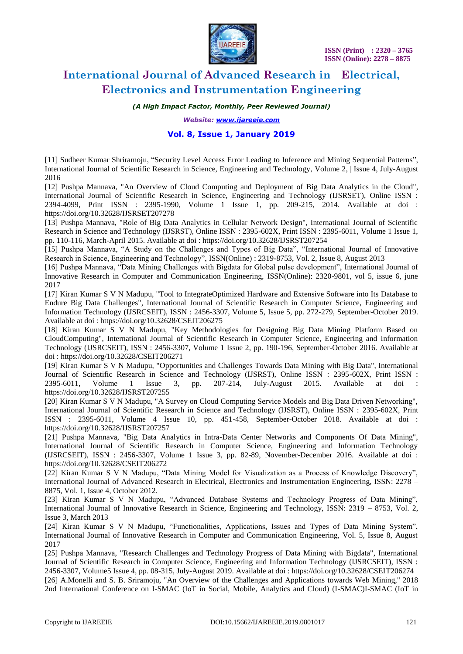

*(A High Impact Factor, Monthly, Peer Reviewed Journal)*

*Website: [www.ijareeie.com](http://www.ijareeie.com/)*

#### **Vol. 8, Issue 1, January 2019**

[11] Sudheer Kumar Shriramoju, "Security Level Access Error Leading to Inference and Mining Sequential Patterns", International Journal of Scientific Research in Science, Engineering and Technology, Volume 2, | Issue 4, July-August 2016

[12] Pushpa Mannava, "An Overview of Cloud Computing and Deployment of Big Data Analytics in the Cloud", International Journal of Scientific Research in Science, Engineering and Technology (IJSRSET), Online ISSN : 2394-4099, Print ISSN : 2395-1990, Volume 1 Issue 1, pp. 209-215, 2014. Available at doi : https://doi.org/10.32628/IJSRSET207278

[13] Pushpa Mannava, "Role of Big Data Analytics in Cellular Network Design", International Journal of Scientific Research in Science and Technology (IJSRST), Online ISSN : 2395-602X, Print ISSN : 2395-6011, Volume 1 Issue 1, pp. 110-116, March-April 2015. Available at doi : https://doi.org/10.32628/IJSRST207254

[15] Pushpa Mannava, "A Study on the Challenges and Types of Big Data", "International Journal of Innovative Research in Science, Engineering and Technology", ISSN(Online) : 2319-8753, Vol. 2, Issue 8, August 2013

[16] Pushpa Mannava, "Data Mining Challenges with Bigdata for Global pulse development", International Journal of Innovative Research in Computer and Communication Engineering, ISSN(Online): 2320-9801, vol 5, issue 6, june 2017

[17] Kiran Kumar S V N Madupu, "Tool to IntegrateOptimized Hardware and Extensive Software into Its Database to Endure Big Data Challenges", International Journal of Scientific Research in Computer Science, Engineering and Information Technology (IJSRCSEIT), ISSN : 2456-3307, Volume 5, Issue 5, pp. 272-279, September-October 2019. Available at doi : https://doi.org/10.32628/CSEIT206275

[18] Kiran Kumar S V N Madupu, "Key Methodologies for Designing Big Data Mining Platform Based on CloudComputing", International Journal of Scientific Research in Computer Science, Engineering and Information Technology (IJSRCSEIT), ISSN : 2456-3307, Volume 1 Issue 2, pp. 190-196, September-October 2016. Available at doi : https://doi.org/10.32628/CSEIT206271

[19] Kiran Kumar S V N Madupu, "Opportunities and Challenges Towards Data Mining with Big Data", International Journal of Scientific Research in Science and Technology (IJSRST), Online ISSN : 2395-602X, Print ISSN : 2395-6011, Volume 1 Issue 3, pp. 207-214, July-August 2015. Available at doi : https://doi.org/10.32628/IJSRST207255

[20] Kiran Kumar S V N Madupu, "A Survey on Cloud Computing Service Models and Big Data Driven Networking", International Journal of Scientific Research in Science and Technology (IJSRST), Online ISSN : 2395-602X, Print ISSN : 2395-6011, Volume 4 Issue 10, pp. 451-458, September-October 2018. Available at doi : https://doi.org/10.32628/IJSRST207257

[21] Pushpa Mannava, "Big Data Analytics in Intra-Data Center Networks and Components Of Data Mining", International Journal of Scientific Research in Computer Science, Engineering and Information Technology (IJSRCSEIT), ISSN : 2456-3307, Volume 1 Issue 3, pp. 82-89, November-December 2016. Available at doi : https://doi.org/10.32628/CSEIT206272

[22] Kiran Kumar S V N Madupu, "Data Mining Model for Visualization as a Process of Knowledge Discovery", International Journal of Advanced Research in Electrical, Electronics and Instrumentation Engineering, ISSN: 2278 – 8875, Vol. 1, Issue 4, October 2012.

[23] Kiran Kumar S V N Madupu, "Advanced Database Systems and Technology Progress of Data Mining", International Journal of Innovative Research in Science, Engineering and Technology, ISSN: 2319 – 8753, Vol. 2, Issue 3, March 2013

[24] Kiran Kumar S V N Madupu, "Functionalities, Applications, Issues and Types of Data Mining System", International Journal of Innovative Research in Computer and Communication Engineering, Vol. 5, Issue 8, August 2017

[25] Pushpa Mannava, "Research Challenges and Technology Progress of Data Mining with Bigdata", International Journal of Scientific Research in Computer Science, Engineering and Information Technology (IJSRCSEIT), ISSN : 2456-3307, Volume5 Issue 4, pp. 08-315, July-August 2019. Available at doi : https://doi.org/10.32628/CSEIT206274

[26] A.Monelli and S. B. Sriramoju, "An Overview of the Challenges and Applications towards Web Mining," 2018 2nd International Conference on I-SMAC (IoT in Social, Mobile, Analytics and Cloud) (I-SMAC)I-SMAC (IoT in